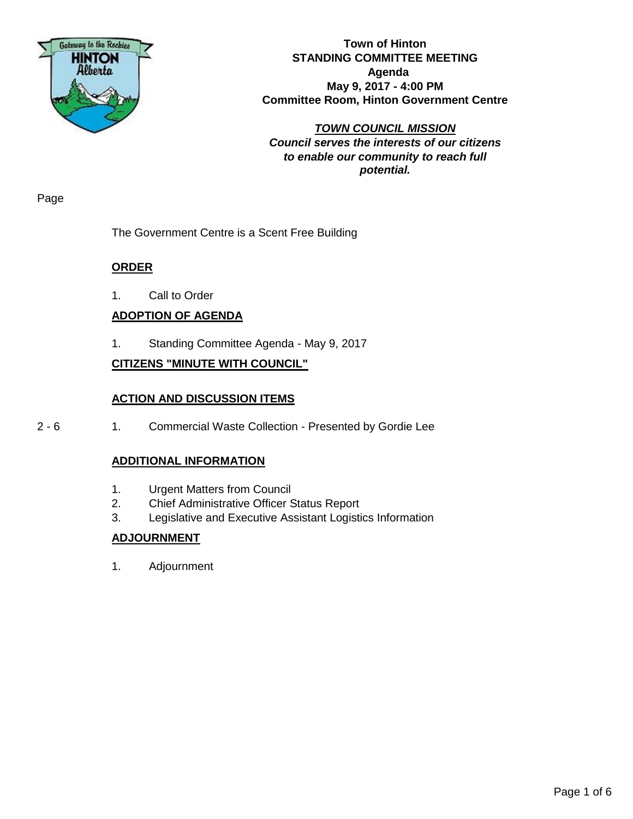

**Town of Hinton STANDING COMMITTEE MEETING Agenda May 9, 2017 - 4:00 PM Committee Room, Hinton Government Centre**

*TOWN COUNCIL MISSION Council serves the interests of our citizens to enable our community to reach full potential.*

Page

The Government Centre is a Scent Free Building

# **ORDER**

1. Call to Order

# **ADOPTION OF AGENDA**

1. Standing Committee Agenda - May 9, 2017

## **CITIZENS "MINUTE WITH COUNCIL"**

## **ACTION AND DISCUSSION ITEMS**

2 - 6 1. Commercial Waste Collection - Presented by Gordie Lee

## **ADDITIONAL INFORMATION**

- 1. Urgent Matters from Council
- 2. Chief Administrative Officer Status Report
- 3. Legislative and Executive Assistant Logistics Information

## **ADJOURNMENT**

1. Adjournment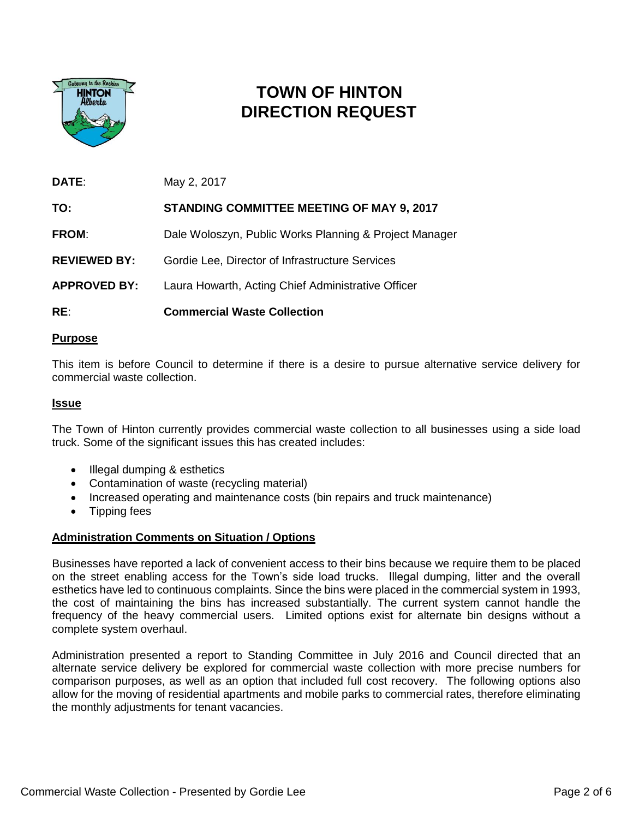

# **TOWN OF HINTON DIRECTION REQUEST**

| <b>DATE:</b>        | May 2, 2017                                            |
|---------------------|--------------------------------------------------------|
| TO:                 | <b>STANDING COMMITTEE MEETING OF MAY 9, 2017</b>       |
| <b>FROM:</b>        | Dale Woloszyn, Public Works Planning & Project Manager |
| <b>REVIEWED BY:</b> | Gordie Lee, Director of Infrastructure Services        |
| <b>APPROVED BY:</b> | Laura Howarth, Acting Chief Administrative Officer     |
|                     |                                                        |

## **RE**: **Commercial Waste Collection**

#### **Purpose**

This item is before Council to determine if there is a desire to pursue alternative service delivery for commercial waste collection.

#### **Issue**

The Town of Hinton currently provides commercial waste collection to all businesses using a side load truck. Some of the significant issues this has created includes:

- Illegal dumping & esthetics
- Contamination of waste (recycling material)
- Increased operating and maintenance costs (bin repairs and truck maintenance)
- Tipping fees

#### **Administration Comments on Situation / Options**

Businesses have reported a lack of convenient access to their bins because we require them to be placed on the street enabling access for the Town's side load trucks. Illegal dumping, litter and the overall esthetics have led to continuous complaints. Since the bins were placed in the commercial system in 1993, the cost of maintaining the bins has increased substantially. The current system cannot handle the frequency of the heavy commercial users. Limited options exist for alternate bin designs without a complete system overhaul.

Administration presented a report to Standing Committee in July 2016 and Council directed that an alternate service delivery be explored for commercial waste collection with more precise numbers for comparison purposes, as well as an option that included full cost recovery. The following options also allow for the moving of residential apartments and mobile parks to commercial rates, therefore eliminating the monthly adjustments for tenant vacancies.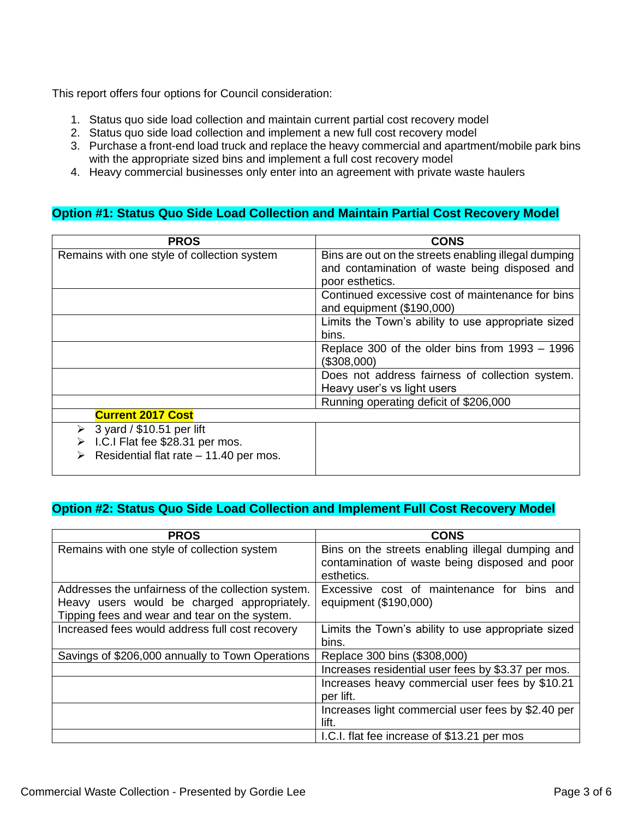This report offers four options for Council consideration:

- 1. Status quo side load collection and maintain current partial cost recovery model
- 2. Status quo side load collection and implement a new full cost recovery model
- 3. Purchase a front-end load truck and replace the heavy commercial and apartment/mobile park bins with the appropriate sized bins and implement a full cost recovery model
- 4. Heavy commercial businesses only enter into an agreement with private waste haulers

## **Option #1: Status Quo Side Load Collection and Maintain Partial Cost Recovery Model**

| <b>PROS</b>                                                                                                   | <b>CONS</b>                                                                                           |
|---------------------------------------------------------------------------------------------------------------|-------------------------------------------------------------------------------------------------------|
| Remains with one style of collection system                                                                   | Bins are out on the streets enabling illegal dumping<br>and contamination of waste being disposed and |
|                                                                                                               | poor esthetics.                                                                                       |
|                                                                                                               | Continued excessive cost of maintenance for bins<br>and equipment (\$190,000)                         |
|                                                                                                               | Limits the Town's ability to use appropriate sized<br>bins.                                           |
|                                                                                                               | Replace 300 of the older bins from 1993 - 1996<br>(\$308,000)                                         |
|                                                                                                               | Does not address fairness of collection system.<br>Heavy user's vs light users                        |
|                                                                                                               | Running operating deficit of \$206,000                                                                |
| <b>Current 2017 Cost</b>                                                                                      |                                                                                                       |
| $\geq 3$ yard / \$10.51 per lift<br>I.C.I Flat fee \$28.31 per mos.<br>Residential flat rate - 11.40 per mos. |                                                                                                       |

# **Option #2: Status Quo Side Load Collection and Implement Full Cost Recovery Model**

| <b>PROS</b>                                                                                                                                        | <b>CONS</b>                                                                                                      |
|----------------------------------------------------------------------------------------------------------------------------------------------------|------------------------------------------------------------------------------------------------------------------|
| Remains with one style of collection system                                                                                                        | Bins on the streets enabling illegal dumping and<br>contamination of waste being disposed and poor<br>esthetics. |
| Addresses the unfairness of the collection system.<br>Heavy users would be charged appropriately.<br>Tipping fees and wear and tear on the system. | Excessive cost of maintenance for bins and<br>equipment (\$190,000)                                              |
| Increased fees would address full cost recovery                                                                                                    | Limits the Town's ability to use appropriate sized<br>bins.                                                      |
| Savings of \$206,000 annually to Town Operations                                                                                                   | Replace 300 bins (\$308,000)                                                                                     |
|                                                                                                                                                    | Increases residential user fees by \$3.37 per mos.                                                               |
|                                                                                                                                                    | Increases heavy commercial user fees by \$10.21<br>per lift.                                                     |
|                                                                                                                                                    | Increases light commercial user fees by \$2.40 per<br>lift.                                                      |
|                                                                                                                                                    | I.C.I. flat fee increase of \$13.21 per mos                                                                      |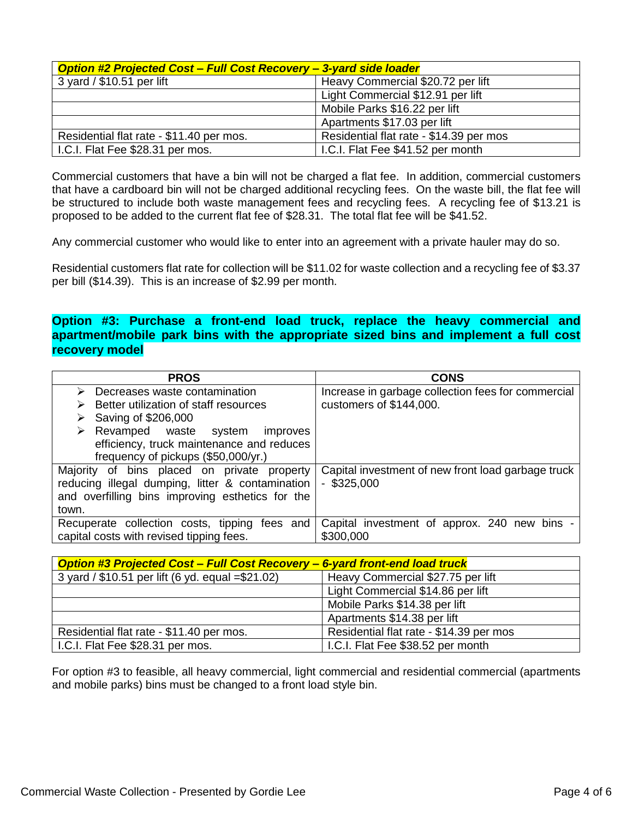| <b>Option #2 Projected Cost - Full Cost Recovery - 3-yard side loader</b> |                                         |  |
|---------------------------------------------------------------------------|-----------------------------------------|--|
| 3 yard / \$10.51 per lift                                                 | Heavy Commercial \$20.72 per lift       |  |
|                                                                           | Light Commercial \$12.91 per lift       |  |
|                                                                           | Mobile Parks \$16.22 per lift           |  |
|                                                                           | Apartments \$17.03 per lift             |  |
| Residential flat rate - \$11.40 per mos.                                  | Residential flat rate - \$14.39 per mos |  |
| I.C.I. Flat Fee \$28.31 per mos.                                          | I.C.I. Flat Fee \$41.52 per month       |  |

Commercial customers that have a bin will not be charged a flat fee. In addition, commercial customers that have a cardboard bin will not be charged additional recycling fees. On the waste bill, the flat fee will be structured to include both waste management fees and recycling fees. A recycling fee of \$13.21 is proposed to be added to the current flat fee of \$28.31. The total flat fee will be \$41.52.

Any commercial customer who would like to enter into an agreement with a private hauler may do so.

Residential customers flat rate for collection will be \$11.02 for waste collection and a recycling fee of \$3.37 per bill (\$14.39). This is an increase of \$2.99 per month.

## **Option #3: Purchase a front-end load truck, replace the heavy commercial and apartment/mobile park bins with the appropriate sized bins and implement a full cost recovery model**

| <b>PROS</b>                                                                                     | <b>CONS</b>                                                         |
|-------------------------------------------------------------------------------------------------|---------------------------------------------------------------------|
| Decreases waste contamination<br>➤                                                              | Increase in garbage collection fees for commercial                  |
| Better utilization of staff resources<br>⋗                                                      | customers of \$144,000.                                             |
| Saving of \$206,000<br>➤                                                                        |                                                                     |
| Revamped waste system<br>improves<br>➤                                                          |                                                                     |
| efficiency, truck maintenance and reduces                                                       |                                                                     |
| frequency of pickups (\$50,000/yr.)                                                             |                                                                     |
| Majority of bins placed on private property<br>reducing illegal dumping, litter & contamination | Capital investment of new front load garbage truck<br>$-$ \$325,000 |
| and overfilling bins improving esthetics for the                                                |                                                                     |
| town.                                                                                           |                                                                     |
| Recuperate collection costs, tipping fees and<br>capital costs with revised tipping fees.       | Capital investment of approx. 240 new bins -<br>\$300,000           |

| <b>Option #3 Projected Cost - Full Cost Recovery - 6-yard front-end load truck</b> |                                         |  |
|------------------------------------------------------------------------------------|-----------------------------------------|--|
| 3 yard / \$10.51 per lift (6 yd. equal = \$21.02)                                  | Heavy Commercial \$27.75 per lift       |  |
|                                                                                    | Light Commercial \$14.86 per lift       |  |
|                                                                                    | Mobile Parks \$14.38 per lift           |  |
|                                                                                    | Apartments \$14.38 per lift             |  |
| Residential flat rate - \$11.40 per mos.                                           | Residential flat rate - \$14.39 per mos |  |
| I.C.I. Flat Fee \$28.31 per mos.                                                   | I.C.I. Flat Fee \$38.52 per month       |  |

For option #3 to feasible, all heavy commercial, light commercial and residential commercial (apartments and mobile parks) bins must be changed to a front load style bin.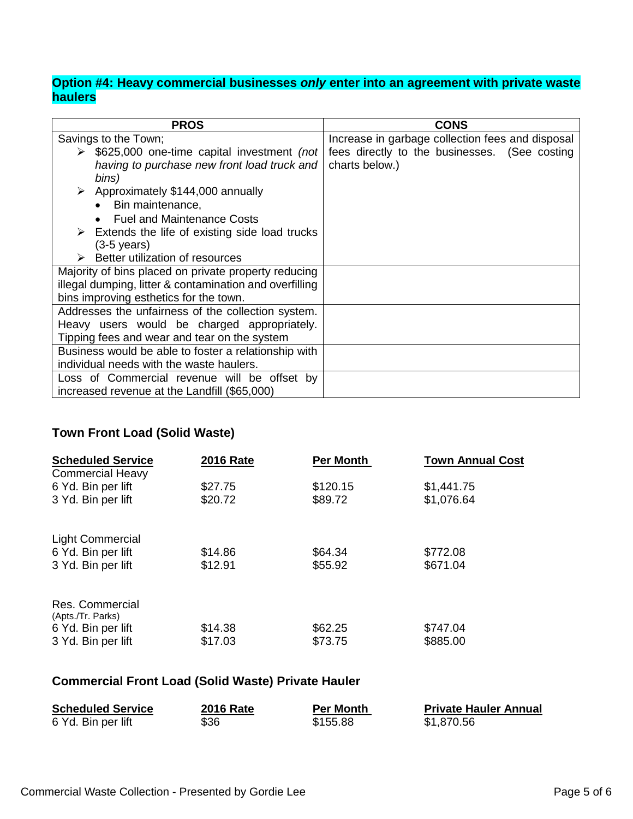# **Option #4: Heavy commercial businesses** *only* **enter into an agreement with private waste haulers**

| <b>PROS</b>                                                    | <b>CONS</b>                                      |  |  |
|----------------------------------------------------------------|--------------------------------------------------|--|--|
| Savings to the Town;                                           | Increase in garbage collection fees and disposal |  |  |
| $\triangleright$ \$625,000 one-time capital investment (not    | fees directly to the businesses. (See costing    |  |  |
| having to purchase new front load truck and<br>bins)           | charts below.)                                   |  |  |
| Approximately \$144,000 annually                               |                                                  |  |  |
| Bin maintenance,                                               |                                                  |  |  |
| <b>Fuel and Maintenance Costs</b>                              |                                                  |  |  |
| $\triangleright$ Extends the life of existing side load trucks |                                                  |  |  |
| $(3-5 \text{ years})$                                          |                                                  |  |  |
| $\triangleright$ Better utilization of resources               |                                                  |  |  |
| Majority of bins placed on private property reducing           |                                                  |  |  |
| illegal dumping, litter & contamination and overfilling        |                                                  |  |  |
| bins improving esthetics for the town.                         |                                                  |  |  |
| Addresses the unfairness of the collection system.             |                                                  |  |  |
| Heavy users would be charged appropriately.                    |                                                  |  |  |
| Tipping fees and wear and tear on the system                   |                                                  |  |  |
| Business would be able to foster a relationship with           |                                                  |  |  |
| individual needs with the waste haulers.                       |                                                  |  |  |
| Loss of Commercial revenue will be offset by                   |                                                  |  |  |
| increased revenue at the Landfill (\$65,000)                   |                                                  |  |  |

# **Town Front Load (Solid Waste)**

| <b>Scheduled Service</b>                      | <b>2016 Rate</b> | <b>Per Month</b> | <b>Town Annual Cost</b> |
|-----------------------------------------------|------------------|------------------|-------------------------|
| <b>Commercial Heavy</b><br>6 Yd. Bin per lift | \$27.75          | \$120.15         | \$1,441.75              |
| 3 Yd. Bin per lift                            | \$20.72          | \$89.72          | \$1,076.64              |
| <b>Light Commercial</b>                       |                  |                  |                         |
| 6 Yd. Bin per lift                            | \$14.86          | \$64.34          | \$772.08                |
| 3 Yd. Bin per lift                            | \$12.91          | \$55.92          | \$671.04                |
| Res. Commercial                               |                  |                  |                         |
| (Apts./Tr. Parks)<br>6 Yd. Bin per lift       | \$14.38          | \$62.25          | \$747.04                |
| 3 Yd. Bin per lift                            | \$17.03          | \$73.75          | \$885.00                |
|                                               |                  |                  |                         |

# **Commercial Front Load (Solid Waste) Private Hauler**

| <b>Scheduled Service</b> | <b>2016 Rate</b> | <b>Per Month</b> | <b>Private Hauler Annual</b> |
|--------------------------|------------------|------------------|------------------------------|
| 6 Yd. Bin per lift       | \$36             | \$155.88         | \$1,870.56                   |